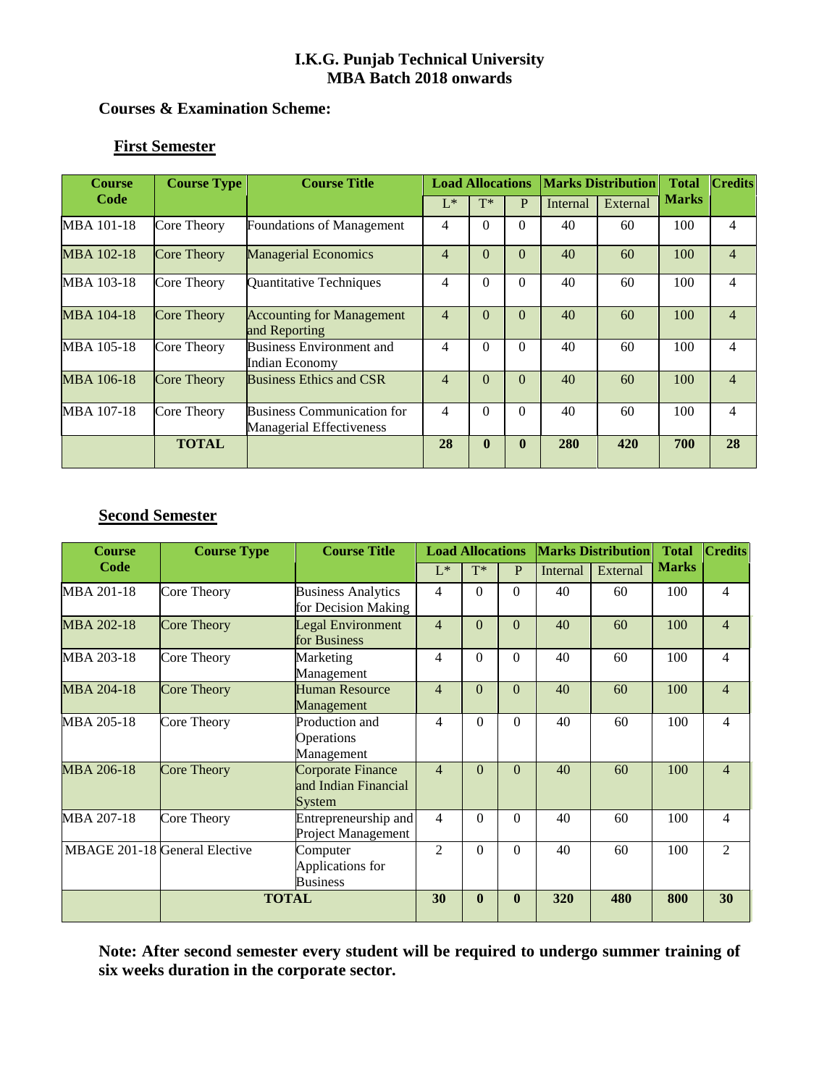### **Courses & Examination Scheme:**

## **First Semester**

| <b>Course</b>     | <b>Course Type</b> | <b>Course Title</b>                                                  | <b>Load Allocations</b> |              |              |          | <b>Marks Distribution</b> | <b>Total</b> | <b>Credits</b> |
|-------------------|--------------------|----------------------------------------------------------------------|-------------------------|--------------|--------------|----------|---------------------------|--------------|----------------|
| Code              |                    |                                                                      | $L^*$                   | $T^*$        | P            | Internal | External                  | <b>Marks</b> |                |
| MBA 101-18        | Core Theory        | Foundations of Management                                            | 4                       | $\Omega$     | $\Omega$     | 40       | 60                        | 100          | 4              |
| MBA 102-18        | <b>Core Theory</b> | <b>Managerial Economics</b>                                          | 4                       | $\Omega$     | $\Omega$     | 40       | 60                        | 100          | $\overline{4}$ |
| MBA 103-18        | Core Theory        | Quantitative Techniques                                              | 4                       | $\Omega$     | $\Omega$     | 40       | 60                        | 100          | $\overline{4}$ |
| <b>MBA 104-18</b> | <b>Core Theory</b> | <b>Accounting for Management</b><br>and Reporting                    | $\overline{4}$          | $\Omega$     | $\theta$     | 40       | 60                        | 100          | $\overline{4}$ |
| MBA 105-18        | Core Theory        | <b>Business Environment and</b><br>Indian Economy                    | 4                       | $\Omega$     | $\Omega$     | 40       | 60                        | 100          | $\overline{4}$ |
| MBA 106-18        | <b>Core Theory</b> | <b>Business Ethics and CSR</b>                                       | 4                       | $\Omega$     | $\Omega$     | 40       | 60                        | 100          | $\overline{4}$ |
| MBA 107-18        | Core Theory        | <b>Business Communication for</b><br><b>Managerial Effectiveness</b> | 4                       | $\Omega$     | $\Omega$     | 40       | 60                        | 100          | 4              |
|                   | <b>TOTAL</b>       |                                                                      | 28                      | $\mathbf{0}$ | $\mathbf{0}$ | 280      | 420                       | 700          | 28             |

# **Second Semester**

| <b>Course</b>     | <b>Course Type</b>            | <b>Course Title</b>                                        | <b>Load Allocations</b> |                |          |          | <b>Marks Distribution</b> | <b>Total</b> | <b>Credits</b> |
|-------------------|-------------------------------|------------------------------------------------------------|-------------------------|----------------|----------|----------|---------------------------|--------------|----------------|
| Code              |                               |                                                            | $L^*$                   | $T^*$          | P        | Internal | External                  | <b>Marks</b> |                |
| MBA 201-18        | Core Theory                   | <b>Business Analytics</b><br>for Decision Making           | $\overline{4}$          | $\overline{0}$ | $\Omega$ | 40       | 60                        | 100          | $\overline{4}$ |
| MBA 202-18        | <b>Core Theory</b>            | Legal Environment<br>for Business                          | 4                       | $\Omega$       | $\Omega$ | 40       | 60                        | 100          | $\overline{4}$ |
| MBA 203-18        | Core Theory                   | Marketing<br>Management                                    | 4                       | $\theta$       | $\theta$ | 40       | 60                        | 100          | 4              |
| MBA 204-18        | <b>Core Theory</b>            | <b>Human Resource</b><br>Management                        | 4                       | $\Omega$       | $\Omega$ | 40       | 60                        | 100          | $\overline{4}$ |
| MBA 205-18        | Core Theory                   | Production and<br>Operations<br>Management                 | 4                       | $\Omega$       | $\Omega$ | 40       | 60                        | 100          | $\overline{4}$ |
| <b>MBA 206-18</b> | Core Theory                   | <b>Corporate Finance</b><br>and Indian Financial<br>System | $\overline{4}$          | $\theta$       | $\theta$ | 40       | 60                        | 100          | $\overline{4}$ |
| MBA 207-18        | Core Theory                   | Entrepreneurship and<br>Project Management                 | 4                       | $\Omega$       | $\Omega$ | 40       | 60                        | 100          | $\overline{4}$ |
|                   | MBAGE 201-18 General Elective | Computer<br>Applications for<br><b>Business</b>            | $\mathfrak{D}$          | $\Omega$       | $\Omega$ | 40       | 60                        | 100          | $\overline{2}$ |
|                   | <b>TOTAL</b>                  | 30                                                         | $\mathbf{0}$            | $\mathbf{0}$   | 320      | 480      | 800                       | 30           |                |

**Note: After second semester every student will be required to undergo summer training of six weeks duration in the corporate sector.**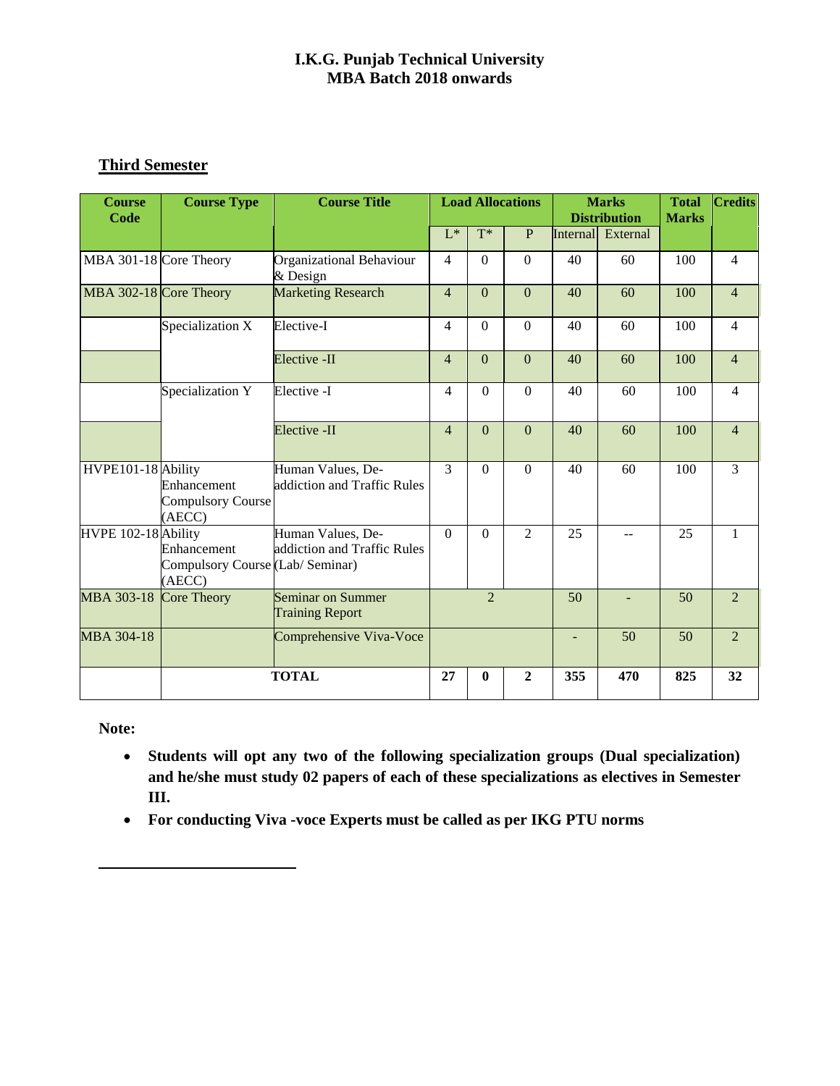## **Third Semester**

| <b>Course</b><br>Code  | <b>Course Type</b>                                        | <b>Course Title</b>                              | <b>Load Allocations</b> |                |                |                 | <b>Marks</b><br><b>Distribution</b> | <b>Total</b><br><b>Marks</b> | <b>Credits</b> |
|------------------------|-----------------------------------------------------------|--------------------------------------------------|-------------------------|----------------|----------------|-----------------|-------------------------------------|------------------------------|----------------|
|                        |                                                           |                                                  | $L^*$                   | $T^*$          | P              | <b>Internal</b> | External                            |                              |                |
| MBA 301-18 Core Theory |                                                           | <b>Organizational Behaviour</b><br>& Design      | $\overline{4}$          | $\theta$       | $\Omega$       | 40              | 60                                  | 100                          | $\overline{4}$ |
| MBA 302-18 Core Theory |                                                           | <b>Marketing Research</b>                        | $\overline{4}$          | $\theta$       | $\overline{0}$ | 40              | 60                                  | 100                          | $\overline{4}$ |
|                        | Specialization X                                          | Elective-I                                       | $\overline{4}$          | $\mathbf{0}$   | $\mathbf{0}$   | 40              | 60                                  | 100                          | $\overline{4}$ |
|                        |                                                           | Elective -II                                     | $\overline{4}$          | $\overline{0}$ | $\overline{0}$ | 40              | 60                                  | 100                          | $\overline{4}$ |
|                        | Specialization Y                                          | Elective -I                                      | 4                       | $\Omega$       | $\Omega$       | 40              | 60                                  | 100                          | 4              |
|                        |                                                           | Elective -II                                     | $\overline{4}$          | $\Omega$       | $\theta$       | 40              | 60                                  | 100                          | $\overline{4}$ |
| HVPE101-18 Ability     | Enhancement<br>Compulsory Course<br>(AECC)                | Human Values, De-<br>addiction and Traffic Rules | $\mathcal{E}$           | $\Omega$       | $\Omega$       | 40              | 60                                  | 100                          | 3              |
| HVPE 102-18 Ability    | Enhancement<br>Compulsory Course (Lab/ Seminar)<br>(AECC) | Human Values, De-<br>addiction and Traffic Rules | $\Omega$                | $\Omega$       | $\overline{2}$ | 25              | $-$                                 | 25                           | $\mathbf{1}$   |
| <b>MBA 303-18</b>      | Core Theory                                               | Seminar on Summer<br><b>Training Report</b>      | $\overline{2}$          |                | 50             |                 | 50                                  | $\mathfrak{D}$               |                |
| <b>MBA 304-18</b>      |                                                           | Comprehensive Viva-Voce                          |                         |                |                |                 | 50                                  | 50                           | $\mathfrak{D}$ |
|                        |                                                           | <b>TOTAL</b>                                     | 27                      | $\mathbf{0}$   | $\mathbf{2}$   | 355             | 470                                 | 825                          | 32             |

**Note:** 

- **Students will opt any two of the following specialization groups (Dual specialization) and he/she must study 02 papers of each of these specializations as electives in Semester III.**
- **For conducting Viva -voce Experts must be called as per IKG PTU norms**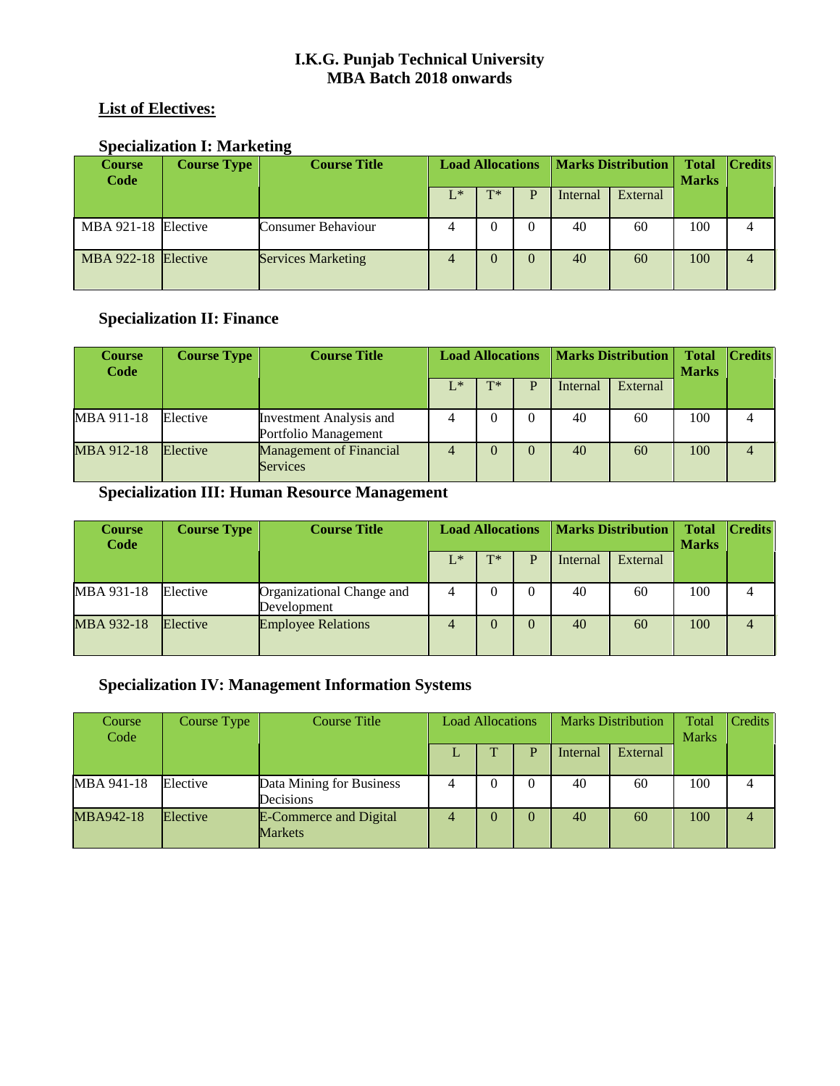## **List of Electives:**

## **Specialization I: Marketing**

| <b>Course</b><br>Code | <b>Course Type</b> | <b>Course Title</b>       | <b>Load Allocations</b> |       |  |          | <b>Marks Distribution</b> | <b>Total</b><br><b>Marks</b> | <b>Credits</b> |
|-----------------------|--------------------|---------------------------|-------------------------|-------|--|----------|---------------------------|------------------------------|----------------|
|                       |                    |                           | $L^*$                   | $T^*$ |  | Internal | External                  |                              |                |
| MBA 921-18 Elective   |                    | Consumer Behaviour        |                         |       |  | 40       | 60                        | 100                          |                |
| MBA 922-18 Elective   |                    | <b>Services Marketing</b> |                         |       |  | 40       | 60                        | 100                          | 4              |

## **Specialization II: Finance**

| <b>Course</b><br>Code | <b>Course Type</b> | <b>Course Title</b>                               | <b>Load Allocations</b> |          |  | <b>Marks Distribution</b> |          |     | $ C_{\text{redits}} $ |
|-----------------------|--------------------|---------------------------------------------------|-------------------------|----------|--|---------------------------|----------|-----|-----------------------|
|                       |                    |                                                   | $L^*$                   | $T^*$    |  | Internal                  | External |     |                       |
| MBA 911-18            | Elective           | Investment Analysis and<br>Portfolio Management   |                         | $\theta$ |  | 40                        | 60       | 100 |                       |
| MBA 912-18            | Elective           | <b>Management of Financial</b><br><b>Services</b> |                         | $\Omega$ |  | 40                        | 60       | 100 |                       |

# **Specialization III: Human Resource Management**

| <b>Course</b><br>Code | <b>Course Type</b> | <b>Course Title</b>                      | <b>Load Allocations</b> |          |          |          | <b>Marks Distribution</b> | <b>Total</b><br><b>Marks</b> | <b>Credits</b> |
|-----------------------|--------------------|------------------------------------------|-------------------------|----------|----------|----------|---------------------------|------------------------------|----------------|
|                       |                    |                                          | $L^*$                   | $T^*$    |          | Internal | External                  |                              |                |
| MBA 931-18            | Elective           | Organizational Change and<br>Development | 4                       | $\theta$ | $\Omega$ | 40       | 60                        | 100                          |                |
| MBA 932-18            | Elective           | <b>Employee Relations</b>                |                         | $\Omega$ |          | 40       | 60                        | 100                          | 4              |

# **Specialization IV: Management Information Systems**

| Course<br>Code | Course Type | <b>Course Title</b>                             | <b>Load Allocations</b> |  |   | <b>Marks Distribution</b> |          | Total<br><b>Marks</b> | Credits |
|----------------|-------------|-------------------------------------------------|-------------------------|--|---|---------------------------|----------|-----------------------|---------|
|                |             |                                                 |                         |  | D | Internal                  | External |                       |         |
| MBA 941-18     | Elective    | Data Mining for Business<br>Decisions           | 4                       |  |   | 40                        | 60       | 100                   |         |
| MBA942-18      | Elective    | <b>E-Commerce and Digital</b><br><b>Markets</b> |                         |  |   | 40                        | 60       | 100                   |         |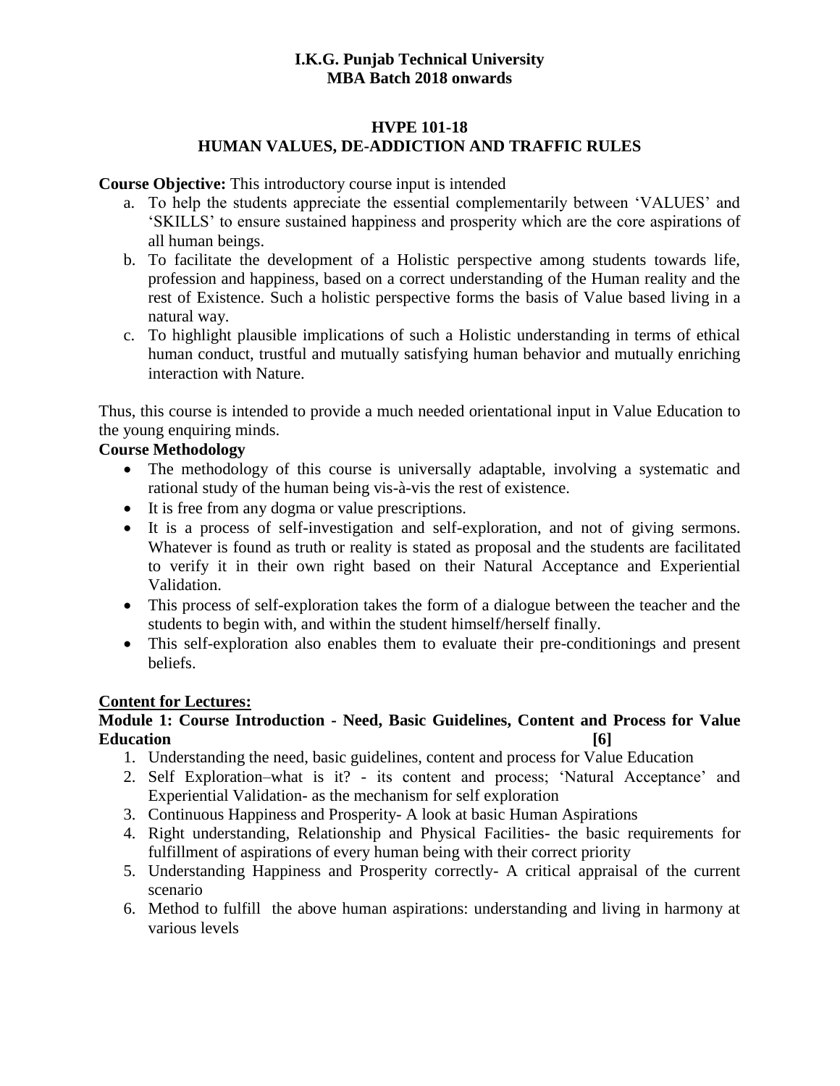#### **HVPE 101-18 HUMAN VALUES, DE-ADDICTION AND TRAFFIC RULES**

#### **Course Objective:** This introductory course input is intended

- a. To help the students appreciate the essential complementarily between 'VALUES' and 'SKILLS' to ensure sustained happiness and prosperity which are the core aspirations of all human beings.
- b. To facilitate the development of a Holistic perspective among students towards life, profession and happiness, based on a correct understanding of the Human reality and the rest of Existence. Such a holistic perspective forms the basis of Value based living in a natural way.
- c. To highlight plausible implications of such a Holistic understanding in terms of ethical human conduct, trustful and mutually satisfying human behavior and mutually enriching interaction with Nature.

Thus, this course is intended to provide a much needed orientational input in Value Education to the young enquiring minds.

### **Course Methodology**

- The methodology of this course is universally adaptable, involving a systematic and rational study of the human being vis-à-vis the rest of existence.
- It is free from any dogma or value prescriptions.
- It is a process of self-investigation and self-exploration, and not of giving sermons. Whatever is found as truth or reality is stated as proposal and the students are facilitated to verify it in their own right based on their Natural Acceptance and Experiential Validation.
- This process of self-exploration takes the form of a dialogue between the teacher and the students to begin with, and within the student himself/herself finally.
- This self-exploration also enables them to evaluate their pre-conditionings and present beliefs.

#### **Content for Lectures:**

### **Module 1: Course Introduction - Need, Basic Guidelines, Content and Process for Value Education [6]**

- 1. Understanding the need, basic guidelines, content and process for Value Education
- 2. Self Exploration–what is it? its content and process; 'Natural Acceptance' and Experiential Validation- as the mechanism for self exploration
- 3. Continuous Happiness and Prosperity- A look at basic Human Aspirations
- 4. Right understanding, Relationship and Physical Facilities- the basic requirements for fulfillment of aspirations of every human being with their correct priority
- 5. Understanding Happiness and Prosperity correctly- A critical appraisal of the current scenario
- 6. Method to fulfill the above human aspirations: understanding and living in harmony at various levels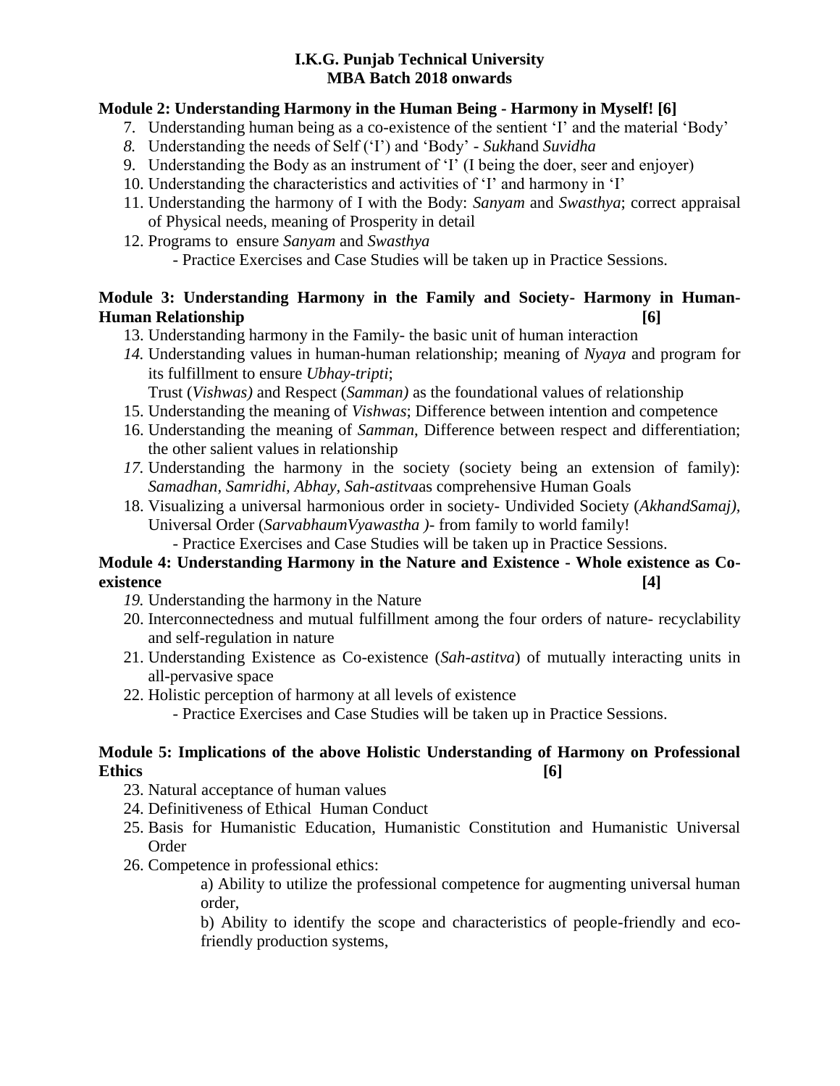### **Module 2: Understanding Harmony in the Human Being - Harmony in Myself! [6]**

- 7. Understanding human being as a co-existence of the sentient 'I' and the material 'Body'
- *8.* Understanding the needs of Self ('I') and 'Body' *Sukh*and *Suvidha*
- 9. Understanding the Body as an instrument of 'I' (I being the doer, seer and enjoyer)
- 10. Understanding the characteristics and activities of 'I' and harmony in 'I'
- 11. Understanding the harmony of I with the Body: *Sanyam* and *Swasthya*; correct appraisal of Physical needs, meaning of Prosperity in detail
- 12. Programs to ensure *Sanyam* and *Swasthya*
	- Practice Exercises and Case Studies will be taken up in Practice Sessions.

## **Module 3: Understanding Harmony in the Family and Society- Harmony in Human-Human Relationship [6]**

- 13. Understanding harmony in the Family- the basic unit of human interaction
- *14.* Understanding values in human-human relationship; meaning of *Nyaya* and program for its fulfillment to ensure *Ubhay-tripti*;

Trust (*Vishwas)* and Respect (*Samman)* as the foundational values of relationship

- 15. Understanding the meaning of *Vishwas*; Difference between intention and competence
- 16. Understanding the meaning of *Samman*, Difference between respect and differentiation; the other salient values in relationship
- *17.* Understanding the harmony in the society (society being an extension of family): *Samadhan, Samridhi, Abhay, Sah-astitva*as comprehensive Human Goals
- 18. Visualizing a universal harmonious order in society- Undivided Society (*AkhandSamaj),* Universal Order (*SarvabhaumVyawastha )*- from family to world family!

- Practice Exercises and Case Studies will be taken up in Practice Sessions.

## **Module 4: Understanding Harmony in the Nature and Existence - Whole existence as Coexistence [4]**

- *19.* Understanding the harmony in the Nature
- 20. Interconnectedness and mutual fulfillment among the four orders of nature- recyclability and self-regulation in nature
- 21. Understanding Existence as Co-existence (*Sah-astitva*) of mutually interacting units in all-pervasive space
- 22. Holistic perception of harmony at all levels of existence

- Practice Exercises and Case Studies will be taken up in Practice Sessions.

### **Module 5: Implications of the above Holistic Understanding of Harmony on Professional Ethics [6]**

- 23. Natural acceptance of human values
- 24. Definitiveness of Ethical Human Conduct
- 25. Basis for Humanistic Education, Humanistic Constitution and Humanistic Universal Order
- 26. Competence in professional ethics:

a) Ability to utilize the professional competence for augmenting universal human order,

b) Ability to identify the scope and characteristics of people-friendly and ecofriendly production systems,